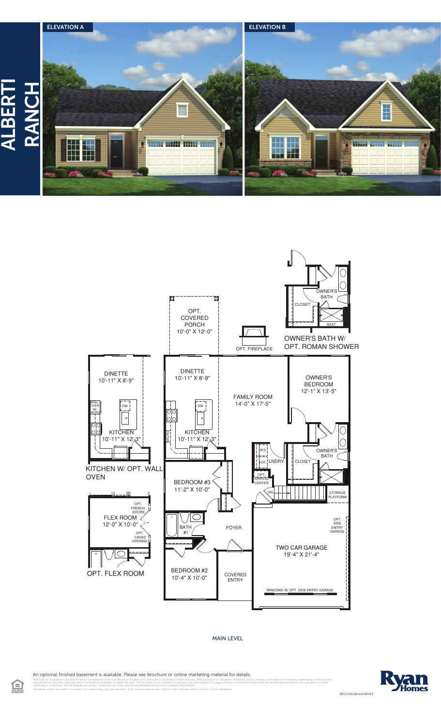



## MAIN LEVEL

An optional finished basement is available. Please see brochure or online marketing material for details.

elieved correct at the time of publication, the right is reserved to make changes, without notice or obligation. Windows, doors, cellings, and room sizes may vary depending on the optic<br>I are available at additional cost. clarification of the specification of seatures.<br>Please ask of features and Marketing Representative formation.



RY0119ALB0Av01BSMT

Elevations shown are artist's concepts. Floor plans may vary per elevation. Ryan Homes reserves the right to make changes without notice or prior obligation.